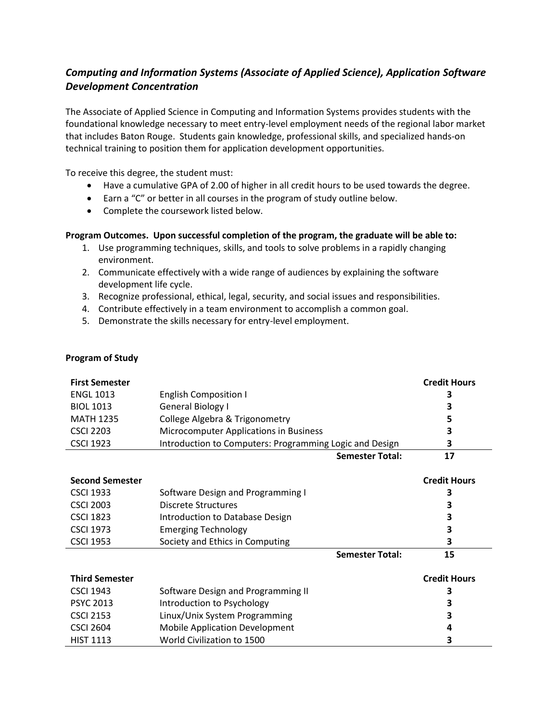## *Computing and Information Systems (Associate of Applied Science), Application Software Development Concentration*

The Associate of Applied Science in Computing and Information Systems provides students with the foundational knowledge necessary to meet entry-level employment needs of the regional labor market that includes Baton Rouge. Students gain knowledge, professional skills, and specialized hands-on technical training to position them for application development opportunities.

To receive this degree, the student must:

- Have a cumulative GPA of 2.00 of higher in all credit hours to be used towards the degree.
- Earn a "C" or better in all courses in the program of study outline below.
- Complete the coursework listed below.

## **Program Outcomes. Upon successful completion of the program, the graduate will be able to:**

- 1. Use programming techniques, skills, and tools to solve problems in a rapidly changing environment.
- 2. Communicate effectively with a wide range of audiences by explaining the software development life cycle.
- 3. Recognize professional, ethical, legal, security, and social issues and responsibilities.
- 4. Contribute effectively in a team environment to accomplish a common goal.
- 5. Demonstrate the skills necessary for entry-level employment.

|  | <b>Program of Study</b> |
|--|-------------------------|
|--|-------------------------|

| <b>First Semester</b><br><b>ENGL 1013</b><br><b>BIOL 1013</b><br><b>MATH 1235</b><br><b>CSCI 2203</b><br><b>CSCI 1923</b> | <b>English Composition I</b><br>General Biology I<br>College Algebra & Trigonometry<br>Microcomputer Applications in Business<br>Introduction to Computers: Programming Logic and Design | <b>Credit Hours</b><br>3<br>3<br>5<br>3<br>3 |
|---------------------------------------------------------------------------------------------------------------------------|------------------------------------------------------------------------------------------------------------------------------------------------------------------------------------------|----------------------------------------------|
|                                                                                                                           | <b>Semester Total:</b>                                                                                                                                                                   | 17                                           |
| <b>Second Semester</b><br><b>CSCI 1933</b><br><b>CSCI 2003</b><br><b>CSCI 1823</b>                                        | Software Design and Programming I<br><b>Discrete Structures</b><br>Introduction to Database Design                                                                                       | <b>Credit Hours</b><br>3<br>3<br>3           |
| <b>CSCI 1973</b><br><b>CSCI 1953</b>                                                                                      | <b>Emerging Technology</b><br>Society and Ethics in Computing                                                                                                                            | 3<br>3                                       |
|                                                                                                                           | <b>Semester Total:</b>                                                                                                                                                                   | 15                                           |
| <b>Third Semester</b><br><b>CSCI 1943</b><br><b>PSYC 2013</b><br><b>CSCI 2153</b><br><b>CSCI 2604</b><br><b>HIST 1113</b> | Software Design and Programming II<br>Introduction to Psychology<br>Linux/Unix System Programming<br><b>Mobile Application Development</b><br>World Civilization to 1500                 | <b>Credit Hours</b><br>З<br>3<br>3<br>4<br>3 |